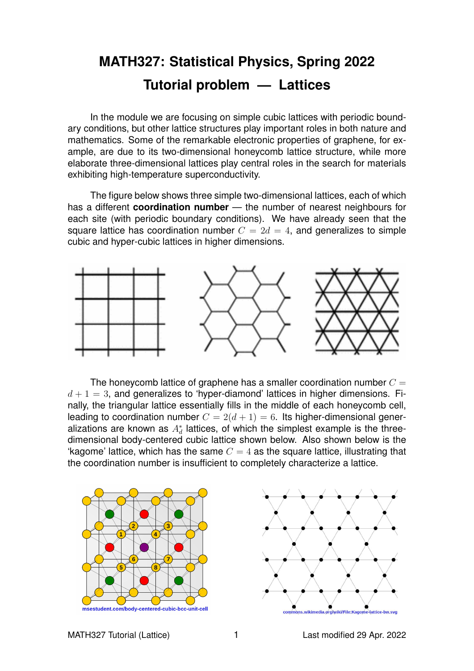## **MATH327: Statistical Physics, Spring 2022 Tutorial problem — Lattices**

In the module we are focusing on simple cubic lattices with periodic boundary conditions, but other lattice structures play important roles in both nature and mathematics. Some of the remarkable electronic properties of graphene, for example, are due to its two-dimensional honeycomb lattice structure, while more elaborate three-dimensional lattices play central roles in the search for materials exhibiting high-temperature superconductivity.

The figure below shows three simple two-dimensional lattices, each of which has a different **coordination number** — the number of nearest neighbours for each site (with periodic boundary conditions). We have already seen that the square lattice has coordination number  $C = 2d = 4$ , and generalizes to simple cubic and hyper-cubic lattices in higher dimensions.



The honeycomb lattice of graphene has a smaller coordination number  $C =$  $d+1=3$ , and generalizes to 'hyper-diamond' lattices in higher dimensions. Finally, the triangular lattice essentially fills in the middle of each honeycomb cell, leading to coordination number  $C = 2(d+1) = 6$ . Its higher-dimensional generalizations are known as  $A_d^*$  lattices, of which the simplest example is the threedimensional body-centered cubic lattice shown below. Also shown below is the 'kagome' lattice, which has the same  $C = 4$  as the square lattice, illustrating that the coordination number is insufficient to completely characterize a lattice.



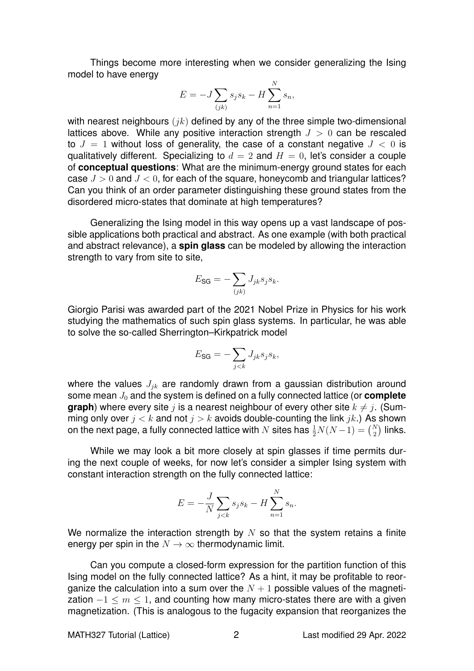Things become more interesting when we consider generalizing the Ising model to have energy

$$
E = -J\sum_{(jk)} s_j s_k - H\sum_{n=1}^N s_n,
$$

with nearest neighbours  $(ik)$  defined by any of the three simple two-dimensional lattices above. While any positive interaction strength  $J > 0$  can be rescaled to  $J = 1$  without loss of generality, the case of a constant negative  $J < 0$  is qualitatively different. Specializing to  $d = 2$  and  $H = 0$ , let's consider a couple of **conceptual questions**: What are the minimum-energy ground states for each case  $J > 0$  and  $J < 0$ , for each of the square, honeycomb and triangular lattices? Can you think of an order parameter distinguishing these ground states from the disordered micro-states that dominate at high temperatures?

Generalizing the Ising model in this way opens up a vast landscape of possible applications both practical and abstract. As one example (with both practical and abstract relevance), a **spin glass** can be modeled by allowing the interaction strength to vary from site to site.

$$
E_{\text{SG}} = -\sum_{(jk)} J_{jk} s_j s_k.
$$

Giorgio Parisi was awarded part of the 2021 Nobel Prize in Physics for his work studying the mathematics of such spin glass systems. In particular, he was able to solve the so-called Sherrington–Kirkpatrick model

$$
E_{\text{SG}} = -\sum_{j < k} J_{jk} s_j s_k,
$$

where the values  $J_{jk}$  are randomly drawn from a gaussian distribution around some mean  $J_0$  and the system is defined on a fully connected lattice (or **complete graph**) where every site j is a nearest neighbour of every other site  $k \neq j$ . (Summing only over  $j < k$  and not  $j > k$  avoids double-counting the link  $jk$ .) As shown on the next page, a fully connected lattice with  $N$  sites has  $\frac{1}{2}N(N-1) = {N \choose 2}$  links.

While we may look a bit more closely at spin glasses if time permits during the next couple of weeks, for now let's consider a simpler Ising system with constant interaction strength on the fully connected lattice:

$$
E = -\frac{J}{N} \sum_{j < k} s_j s_k - H \sum_{n=1}^N s_n.
$$

We normalize the interaction strength by  $N$  so that the system retains a finite energy per spin in the  $N \to \infty$  thermodynamic limit.

Can you compute a closed-form expression for the partition function of this Ising model on the fully connected lattice? As a hint, it may be profitable to reorganize the calculation into a sum over the  $N + 1$  possible values of the magnetization  $-1 \leq m \leq 1$ , and counting how many micro-states there are with a given magnetization. (This is analogous to the fugacity expansion that reorganizes the